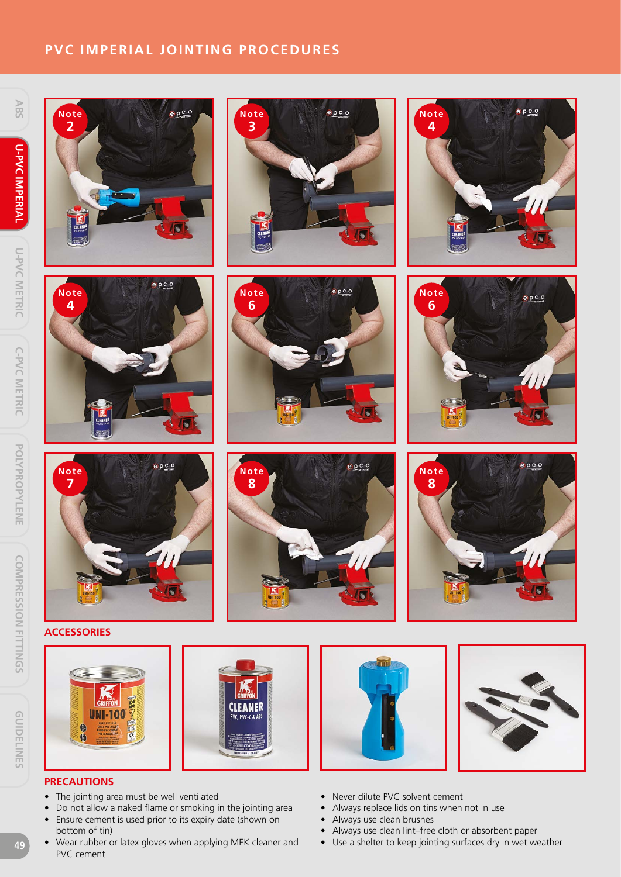# **PVC IMPERIAL JOINTING PROCEDURES**







 $0<sub>c</sub>$ **Note 2**



 $e$   $p$   $c$   $o$ 













# **ACCESSORIES**

**Note 7**





**Note 8**



- The jointing area must be well ventilated
- Do not allow a naked flame or smoking in the jointing area
- Ensure cement is used prior to its expiry date (shown on bottom of tin)
- Wear rubber or latex gloves when applying MEK cleaner and PVC cement
- 



- Never dilute PVC solvent cement
- Always replace lids on tins when not in use
- Always use clean brushes
- Always use clean lint–free cloth or absorbent paper
- Use a shelter to keep jointing surfaces dry in wet weather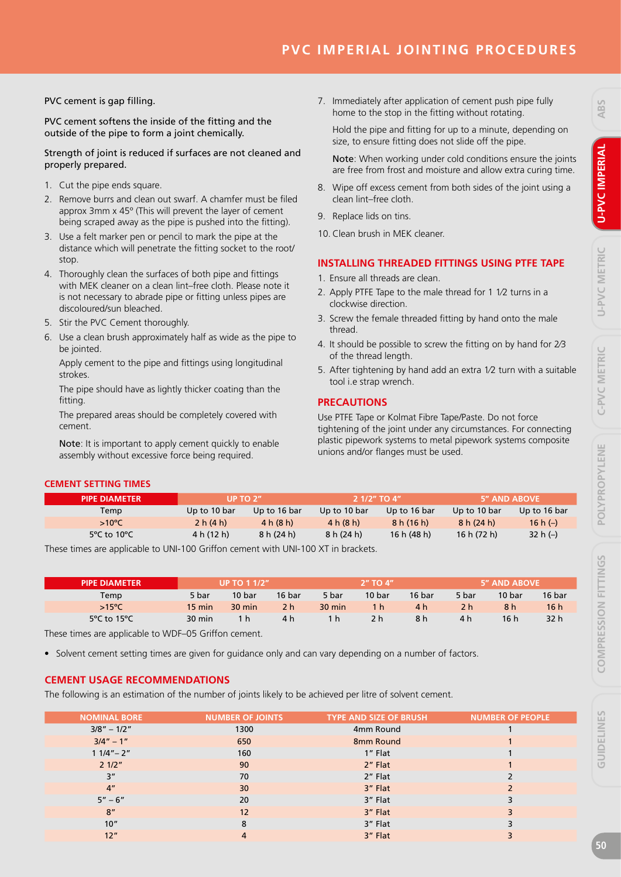# **PVC IMPERIAL JOINTING PROCEDURES**

PVC cement is gap filling.

PVC cement softens the inside of the fitting and the outside of the pipe to form a joint chemically.

Strength of joint is reduced if surfaces are not cleaned and properly prepared.

- 1. Cut the pipe ends square.
- 2. Remove burrs and clean out swarf. A chamfer must be filed approx 3mm x 45º (This will prevent the layer of cement being scraped away as the pipe is pushed into the fitting).
- 3. Use a felt marker pen or pencil to mark the pipe at the distance which will penetrate the fitting socket to the root/ stop.
- 4. Thoroughly clean the surfaces of both pipe and fittings with MEK cleaner on a clean lint–free cloth. Please note it is not necessary to abrade pipe or fitting unless pipes are discoloured/sun bleached.
- 5. Stir the PVC Cement thoroughly.
- 6. Use a clean brush approximately half as wide as the pipe to be jointed.

Apply cement to the pipe and fittings using longitudinal strokes.

The pipe should have as lightly thicker coating than the fitting.

The prepared areas should be completely covered with cement.

Note: It is important to apply cement quickly to enable assembly without excessive force being required.

7. Immediately after application of cement push pipe fully home to the stop in the fitting without rotating.

Hold the pipe and fitting for up to a minute, depending on size, to ensure fitting does not slide off the pipe.

Note: When working under cold conditions ensure the joints are free from frost and moisture and allow extra curing time.

- 8. Wipe off excess cement from both sides of the joint using a clean lint–free cloth.
- 9. Replace lids on tins.
- 10. Clean brush in MEK cleaner.

# **INSTALLING THREADED FITTINGS USING PTFE TAPE**

- 1. Ensure all threads are clean.
- 2. Apply PTFE Tape to the male thread for 1 1⁄2 turns in a clockwise direction.
- 3. Screw the female threaded fitting by hand onto the male thread.
- 4. It should be possible to screw the fitting on by hand for 2⁄3 of the thread length.
- 5. After tightening by hand add an extra 1⁄2 turn with a suitable tool i.e strap wrench.

# **PRECAUTIONS**

Use PTFE Tape or Kolmat Fibre Tape/Paste. Do not force tightening of the joint under any circumstances. For connecting plastic pipework systems to metal pipework systems composite unions and/or flanges must be used.

### **CEMENT SETTING TIMES**

| <b>PIPE DIAMETER</b>             | UP TO $2n$   |              | 2 1/2" TO 4" |               | <b>5" AND ABOVE</b> |              |  |
|----------------------------------|--------------|--------------|--------------|---------------|---------------------|--------------|--|
| Temp                             | Up to 10 bar | Up to 16 bar | Up to 10 bar | Up to 16 bar  | Up to 10 bar        | Up to 16 bar |  |
| $>10^{\circ}$ C                  | 2 h (4 h)    | 4 h (8 h)    | 4 h (8 h)    | 8 h (16 h)    | 8 h (24 h)          | 16 h $(-)$   |  |
| $5^{\circ}$ C to 10 $^{\circ}$ C | 4 h (12 h)   | 8 h (24 h)   | 8 h (24 h)   | 16 h $(48 h)$ | 16 h (72 h)         | 32 h $(-)$   |  |

These times are applicable to UNI-100 Griffon cement with UNI-100 XT in brackets.

| <b>PIPE DIAMETER</b>            | <b>UP TO 1 1/2"</b> |                  |        | $2"$ TO $4"$     |        |        | 5" AND ABOVE |        |        |
|---------------------------------|---------------------|------------------|--------|------------------|--------|--------|--------------|--------|--------|
| Temp                            | 5 bar               | 10 bar           | 16 bar | 5 bar            | 10 bar | 16 bar | 5 bar        | 10 bar | 16 bar |
| $>15^{\circ}$ C                 | 15 min              | $30 \text{ min}$ | 2 h    | $30 \text{ min}$ | 1 h    | 4 h    | 2 h          | 8 h    | 16h    |
| 5 $\degree$ C to 15 $\degree$ C | 30 min              | 1 h.             | 4 h    | 1 h              | 2 h    | 8 h    | 4 h          | 16 h   | 32 h   |

These times are applicable to WDF–05 Griffon cement.

• Solvent cement setting times are given for guidance only and can vary depending on a number of factors.

# **CEMENT USAGE RECOMMENDATIONS**

The following is an estimation of the number of joints likely to be achieved per litre of solvent cement.

| <b>NOMINAL BORE</b> | <b>NUMBER OF JOINTS</b> | <b>TYPE AND SIZE OF BRUSH</b> | <b>NUMBER OF PEOPLE</b> |
|---------------------|-------------------------|-------------------------------|-------------------------|
| $3/8" - 1/2"$       | 1300                    | 4mm Round                     |                         |
| $3/4" - 1"$         | 650                     | 8mm Round                     |                         |
| $11/4" - 2"$        | 160                     | 1" Flat                       |                         |
| 21/2"               | 90                      | 2" Flat                       |                         |
| 3"                  | 70                      | 2" Flat                       |                         |
| 4 <sup>''</sup>     | 30                      | 3" Flat                       |                         |
| $5'' - 6''$         | 20                      | 3" Flat                       |                         |
| 8"                  | 12                      | 3" Flat                       |                         |
| 10"                 | 8                       | 3" Flat                       |                         |
| 12"                 | 4                       | 3" Flat                       |                         |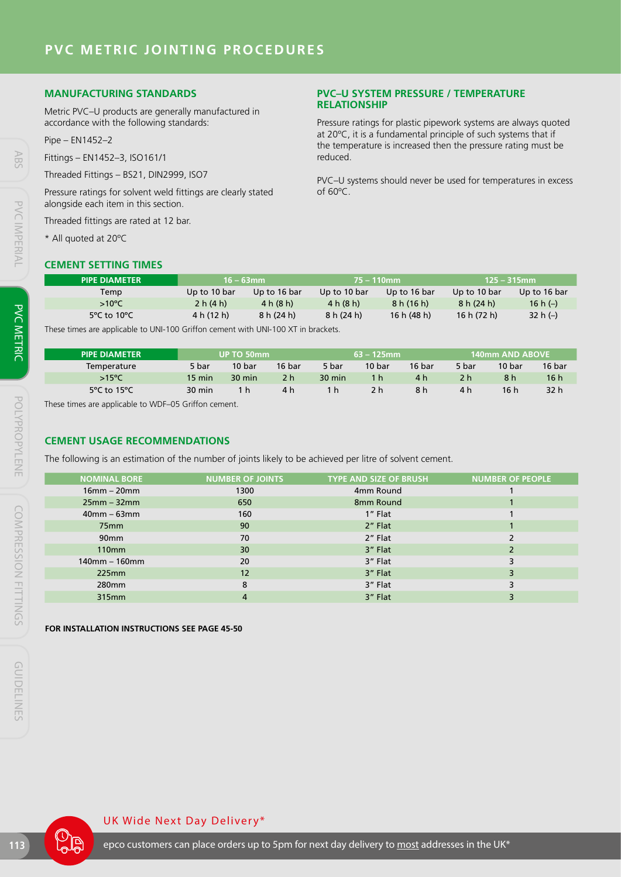### **MANUFACTURING STANDARDS**

Metric PVC–U products are generally manufactured in accordance with the following standards:

Pipe – EN1452–2

Fittings – EN1452–3, ISO161/1

Threaded Fittings – BS21, DIN2999, ISO7

Pressure ratings for solvent weld fittings are clearly stated alongside each item in this section.

Threaded fittings are rated at 12 bar.

\* All quoted at 20ºC

#### **CEMENT SETTING TIMES**

#### **PVC–U SYSTEM PRESSURE / TEMPERATURE RELATIONSHIP**

Pressure ratings for plastic pipework systems are always quoted at 20ºC, it is a fundamental principle of such systems that if the temperature is increased then the pressure rating must be reduced.

PVC–U systems should never be used for temperatures in excess of 60ºC.

| <b>PIPE DIAMETER</b>             | $16 - 63$ mm                                                                     |              | 75 – 110mm   |              | $125 - 315$ mm |              |  |  |  |
|----------------------------------|----------------------------------------------------------------------------------|--------------|--------------|--------------|----------------|--------------|--|--|--|
| Temp                             | Up to 10 bar                                                                     | Up to 16 bar | Up to 10 bar | Up to 16 bar | Up to 10 bar   | Up to 16 bar |  |  |  |
| $>10^{\circ}$ C                  | 2 h (4 h)                                                                        | 4 h (8 h)    | 4 h (8 h)    | 8 h (16 h)   | 8 h (24 h)     | 16 h $(-)$   |  |  |  |
| $5^{\circ}$ C to 10 $^{\circ}$ C | 4 h (12 h)                                                                       | 8 h (24 h)   | 8 h (24 h)   | 16h(48h)     | 16 h (72 h)    | 32 h $(-)$   |  |  |  |
|                                  | These times are applicable to UNI-100 Griffon cement with UNI-100 YT in brackets |              |              |              |                |              |  |  |  |

These times are applicable to UNI-100 Griffon cement with UNI-100 XT in brackets.

| <b>PIPE DIAMETER</b> | UP TO 50mm       |                  |        | $63 - 125$ mm    |        |        | 140mm AND ABOVE ' |        |                 |
|----------------------|------------------|------------------|--------|------------------|--------|--------|-------------------|--------|-----------------|
| Temperature          | 5 bar            | 10 bar           | 16 bar | 5 bar            | 10 bar | 16 bar | 5 bar             | 10 bar | 16 bar          |
| $>15^{\circ}$ C      | $15 \text{ min}$ | $30 \text{ min}$ | 2 h    | $30 \text{ min}$ | 1 h    | 4 h    | 2 h               | 8 h    | 16 <sup>h</sup> |
| 5°C to 15°C          | $30 \text{ min}$ | 1 h.             | 4 h    | 1 h              | 2 h    | 8 h    | 4 h               | 16 h   | 32 h            |

These times are applicable to WDF–05 Griffon cement.

#### **CEMENT USAGE RECOMMENDATIONS**

The following is an estimation of the number of joints likely to be achieved per litre of solvent cement.

| <b>NOMINAL BORE</b> | <b>NUMBER OF JOINTS</b> | <b>TYPE AND SIZE OF BRUSH</b> | <b>NUMBER OF PEOPLE</b> |
|---------------------|-------------------------|-------------------------------|-------------------------|
| $16$ mm – $20$ mm   | 1300                    | 4mm Round                     |                         |
| $25mm - 32mm$       | 650                     | 8mm Round                     |                         |
| $40$ mm – 63mm      | 160                     | 1" Flat                       |                         |
| 75 <sub>mm</sub>    | 90                      | 2" Flat                       |                         |
| 90 <sub>mm</sub>    | 70                      | 2" Flat                       |                         |
| 110 <sub>mm</sub>   | 30                      | 3" Flat                       |                         |
| $140$ mm – 160mm    | 20                      | 3" Flat                       |                         |
| 225mm               | 12                      | 3" Flat                       |                         |
| 280 <sub>mm</sub>   | 8                       | 3" Flat                       |                         |
| 315mm               | 4                       | 3" Flat                       |                         |
|                     |                         |                               |                         |

**FOR INSTALLATION INSTRUCTIONS SEE PAGE 45-50**

#### UK Wide Next Day Delivery\*